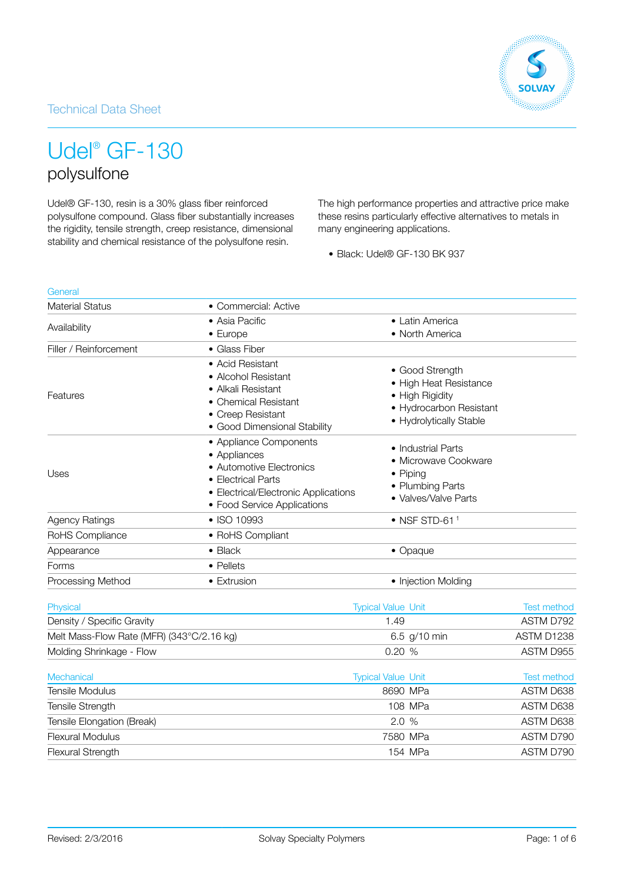## Technical Data Sheet



## Udel® GF-130 polysulfone

Udel® GF-130, resin is a 30% glass fiber reinforced polysulfone compound. Glass fiber substantially increases the rigidity, tensile strength, creep resistance, dimensional stability and chemical resistance of the polysulfone resin.

The high performance properties and attractive price make these resins particularly effective alternatives to metals in many engineering applications.

• Black: Udel® GF-130 BK 937

| General                                   |                                                                                                                                                                 |                                                                                                                    |                    |
|-------------------------------------------|-----------------------------------------------------------------------------------------------------------------------------------------------------------------|--------------------------------------------------------------------------------------------------------------------|--------------------|
| <b>Material Status</b>                    | • Commercial: Active                                                                                                                                            |                                                                                                                    |                    |
| Availability                              | • Asia Pacific                                                                                                                                                  | • Latin America                                                                                                    |                    |
|                                           | $\bullet$ Europe                                                                                                                                                | • North America                                                                                                    |                    |
| Filler / Reinforcement                    | • Glass Fiber                                                                                                                                                   |                                                                                                                    |                    |
| Features                                  | • Acid Resistant<br>• Alcohol Resistant<br>• Alkali Resistant<br>• Chemical Resistant<br>• Creep Resistant<br>• Good Dimensional Stability                      | • Good Strength<br>• High Heat Resistance<br>• High Rigidity<br>• Hydrocarbon Resistant<br>• Hydrolytically Stable |                    |
| Uses                                      | • Appliance Components<br>• Appliances<br>• Automotive Electronics<br>• Electrical Parts<br>• Electrical/Electronic Applications<br>• Food Service Applications | • Industrial Parts<br>· Microwave Cookware<br>• Piping<br>• Plumbing Parts<br>• Valves/Valve Parts                 |                    |
| <b>Agency Ratings</b>                     | • ISO 10993                                                                                                                                                     | $\bullet$ NSF STD-61 <sup>1</sup>                                                                                  |                    |
| RoHS Compliance                           | • RoHS Compliant                                                                                                                                                |                                                                                                                    |                    |
| Appearance                                | $\bullet$ Black                                                                                                                                                 | • Opaque                                                                                                           |                    |
| Forms                                     | • Pellets                                                                                                                                                       |                                                                                                                    |                    |
| Processing Method                         | • Extrusion                                                                                                                                                     | • Injection Molding                                                                                                |                    |
| Physical                                  |                                                                                                                                                                 | <b>Typical Value Unit</b>                                                                                          | <b>Test method</b> |
| Density / Specific Gravity                |                                                                                                                                                                 | 1.49                                                                                                               | ASTM D792          |
| Melt Mass-Flow Rate (MFR) (343°C/2.16 kg) |                                                                                                                                                                 | 6.5 g/10 min                                                                                                       | ASTM D1238         |
| Molding Shrinkage - Flow                  |                                                                                                                                                                 | 0.20 %                                                                                                             | ASTM D955          |
| Mechanical                                |                                                                                                                                                                 | <b>Typical Value Unit</b>                                                                                          | <b>Test method</b> |
| <b>Tensile Modulus</b>                    |                                                                                                                                                                 | 8690 MPa                                                                                                           | ASTM D638          |
| Tensile Strength                          |                                                                                                                                                                 | 108 MPa                                                                                                            | ASTM D638          |
| Tensile Elongation (Break)                |                                                                                                                                                                 | 2.0%                                                                                                               | ASTM D638          |
| <b>Flexural Modulus</b>                   |                                                                                                                                                                 | 7580 MPa                                                                                                           | ASTM D790          |
| <b>Flexural Strength</b>                  |                                                                                                                                                                 | 154 MPa                                                                                                            | ASTM D790          |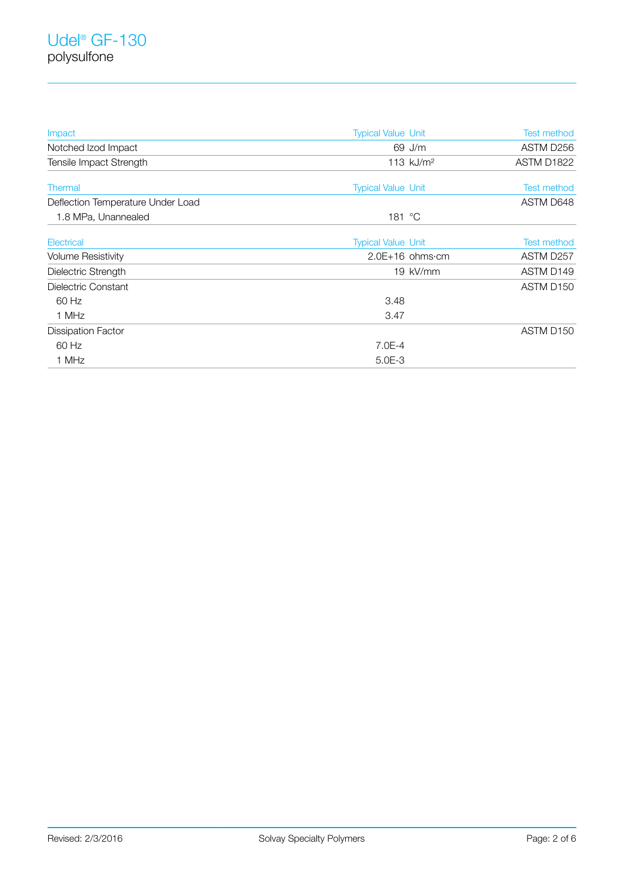| Impact                            | <b>Typical Value Unit</b> | <b>Test method</b>    |
|-----------------------------------|---------------------------|-----------------------|
| Notched Izod Impact               | 69 J/m                    | ASTM D256             |
| Tensile Impact Strength           | 113 $kJ/m2$               | ASTM D1822            |
| <b>Thermal</b>                    | <b>Typical Value Unit</b> | <b>Test method</b>    |
| Deflection Temperature Under Load |                           | ASTM D648             |
| 1.8 MPa, Unannealed               | 181 °C                    |                       |
| Electrical                        | <b>Typical Value Unit</b> | <b>Test method</b>    |
| <b>Volume Resistivity</b>         | $2.0E+16$ ohms $cm$       | ASTM D257             |
| Dielectric Strength               | 19 kV/mm                  | ASTM D149             |
| Dielectric Constant               |                           | ASTM D <sub>150</sub> |
| 60 Hz                             | 3.48                      |                       |
| 1 MHz                             | 3.47                      |                       |
| <b>Dissipation Factor</b>         |                           | ASTM D150             |
| 60 Hz                             | $7.0E-4$                  |                       |
| 1 MHz                             | $5.0E - 3$                |                       |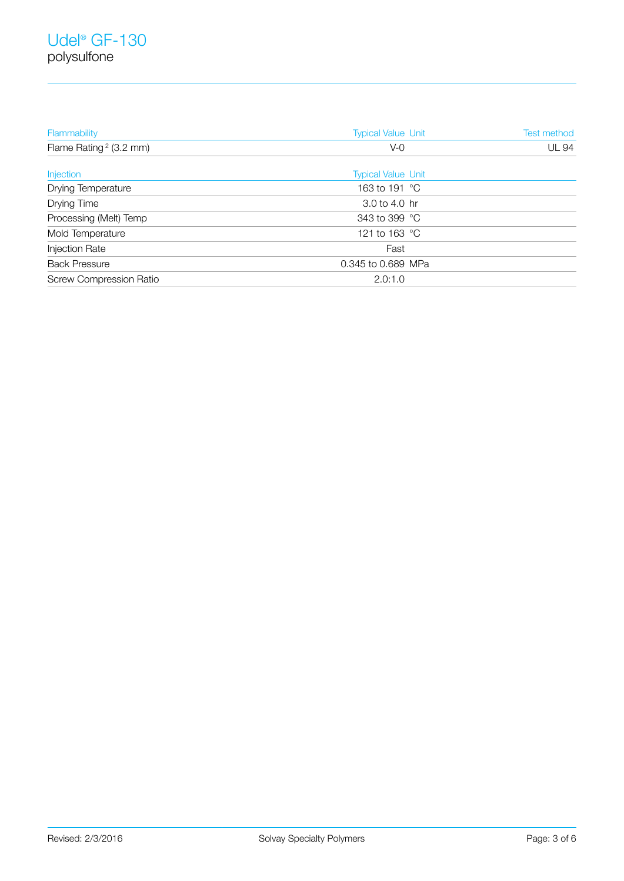| Flammability                       | <b>Typical Value Unit</b>        | <b>Test method</b> |
|------------------------------------|----------------------------------|--------------------|
| Flame Rating <sup>2</sup> (3.2 mm) | $V-0$                            | <b>UL 94</b>       |
| <b>Injection</b>                   | <b>Typical Value Unit</b>        |                    |
| Drying Temperature                 | 163 to 191 °C                    |                    |
| Drying Time                        | $3.0 \text{ to } 4.0 \text{ hr}$ |                    |
| Processing (Melt) Temp             | 343 to 399 °C                    |                    |
| Mold Temperature                   | 121 to 163 °C                    |                    |
| <b>Injection Rate</b>              | Fast                             |                    |
| <b>Back Pressure</b>               | 0.345 to 0.689 MPa               |                    |
| <b>Screw Compression Ratio</b>     | 2.0:1.0                          |                    |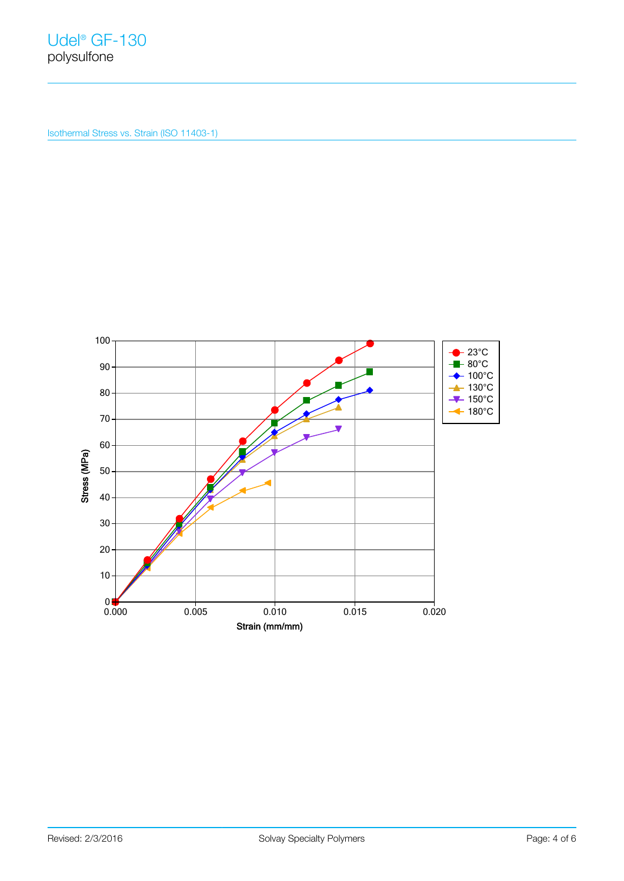Isothermal Stress vs. Strain (ISO 11403-1)

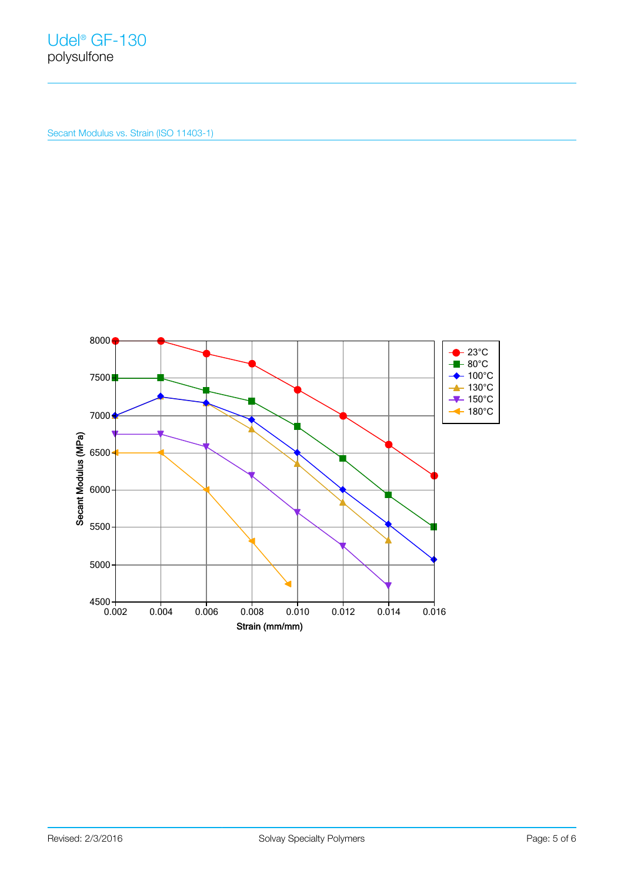Secant Modulus vs. Strain (ISO 11403-1)